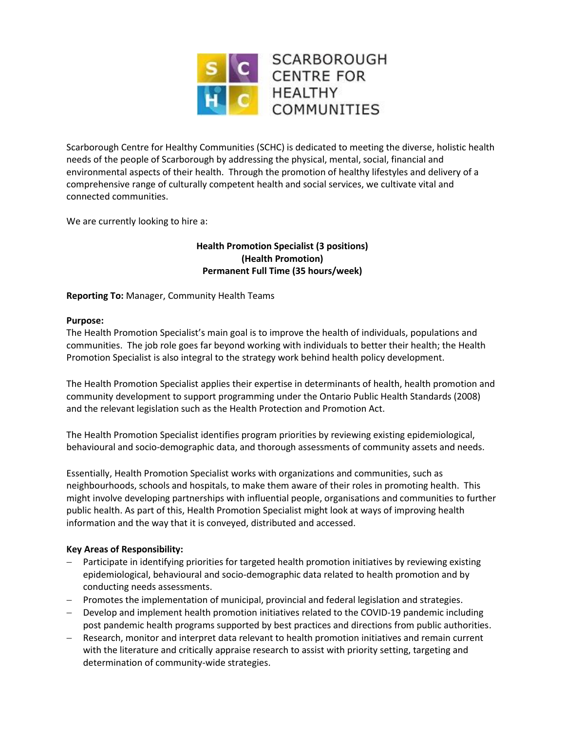

Scarborough Centre for Healthy Communities (SCHC) is dedicated to meeting the diverse, holistic health needs of the people of Scarborough by addressing the physical, mental, social, financial and environmental aspects of their health. Through the promotion of healthy lifestyles and delivery of a comprehensive range of culturally competent health and social services, we cultivate vital and connected communities.

We are currently looking to hire a:

# **Health Promotion Specialist (3 positions) (Health Promotion) Permanent Full Time (35 hours/week)**

### **Reporting To:** Manager, Community Health Teams

#### **Purpose:**

The Health Promotion Specialist's main goal is to improve the health of individuals, populations and communities. The job role goes far beyond working with individuals to better their health; the Health Promotion Specialist is also integral to the strategy work behind health policy development.

The Health Promotion Specialist applies their expertise in determinants of health, health promotion and community development to support programming under the Ontario Public Health Standards (2008) and the relevant legislation such as the Health Protection and Promotion Act.

The Health Promotion Specialist identifies program priorities by reviewing existing epidemiological, behavioural and socio-demographic data, and thorough assessments of community assets and needs.

Essentially, Health Promotion Specialist works with organizations and communities, such as neighbourhoods, schools and hospitals, to make them aware of their roles in promoting health. This might involve developing partnerships with influential people, organisations and communities to further public health. As part of this, Health Promotion Specialist might look at ways of improving health information and the way that it is conveyed, distributed and accessed.

#### **Key Areas of Responsibility:**

- Participate in identifying priorities for targeted health promotion initiatives by reviewing existing epidemiological, behavioural and socio-demographic data related to health promotion and by conducting needs assessments.
- Promotes the implementation of municipal, provincial and federal legislation and strategies.
- Develop and implement health promotion initiatives related to the COVID-19 pandemic including post pandemic health programs supported by best practices and directions from public authorities.
- Research, monitor and interpret data relevant to health promotion initiatives and remain current with the literature and critically appraise research to assist with priority setting, targeting and determination of community-wide strategies.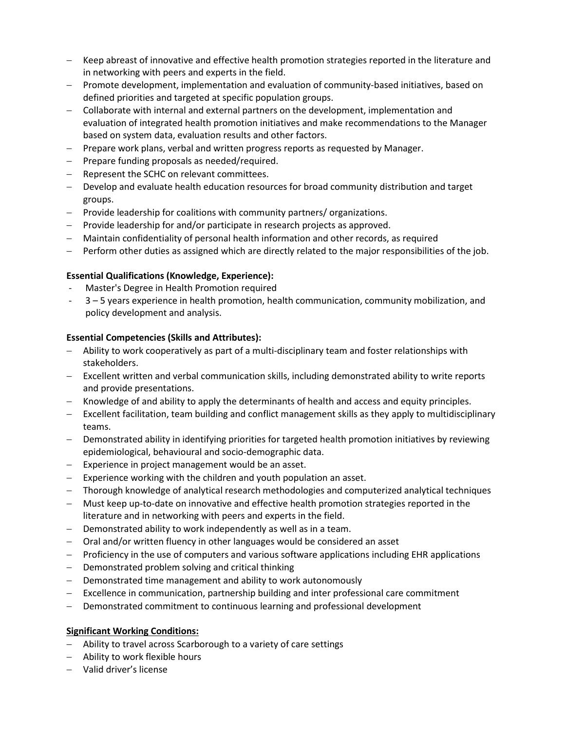- Keep abreast of innovative and effective health promotion strategies reported in the literature and in networking with peers and experts in the field.
- Promote development, implementation and evaluation of community-based initiatives, based on defined priorities and targeted at specific population groups.
- Collaborate with internal and external partners on the development, implementation and evaluation of integrated health promotion initiatives and make recommendations to the Manager based on system data, evaluation results and other factors.
- Prepare work plans, verbal and written progress reports as requested by Manager.
- $-$  Prepare funding proposals as needed/required.
- Represent the SCHC on relevant committees.
- Develop and evaluate health education resources for broad community distribution and target groups.
- Provide leadership for coalitions with community partners/ organizations.
- $-$  Provide leadership for and/or participate in research projects as approved.
- Maintain confidentiality of personal health information and other records, as required
- Perform other duties as assigned which are directly related to the major responsibilities of the job.

#### **Essential Qualifications (Knowledge, Experience):**

- Master's Degree in Health Promotion required
- 3 5 years experience in health promotion, health communication, community mobilization, and policy development and analysis.

#### **Essential Competencies (Skills and Attributes):**

- Ability to work cooperatively as part of a multi-disciplinary team and foster relationships with stakeholders.
- $-$  Excellent written and verbal communication skills, including demonstrated ability to write reports and provide presentations.
- Knowledge of and ability to apply the determinants of health and access and equity principles.
- $-$  Excellent facilitation, team building and conflict management skills as they apply to multidisciplinary teams.
- Demonstrated ability in identifying priorities for targeted health promotion initiatives by reviewing epidemiological, behavioural and socio-demographic data.
- Experience in project management would be an asset.
- $-$  Experience working with the children and youth population an asset.
- Thorough knowledge of analytical research methodologies and computerized analytical techniques
- Must keep up-to-date on innovative and effective health promotion strategies reported in the literature and in networking with peers and experts in the field.
- Demonstrated ability to work independently as well as in a team.
- Oral and/or written fluency in other languages would be considered an asset
- Proficiency in the use of computers and various software applications including EHR applications
- Demonstrated problem solving and critical thinking
- Demonstrated time management and ability to work autonomously
- Excellence in communication, partnership building and inter professional care commitment
- Demonstrated commitment to continuous learning and professional development

#### **Significant Working Conditions:**

- Ability to travel across Scarborough to a variety of care settings
- Ability to work flexible hours
- Valid driver's license